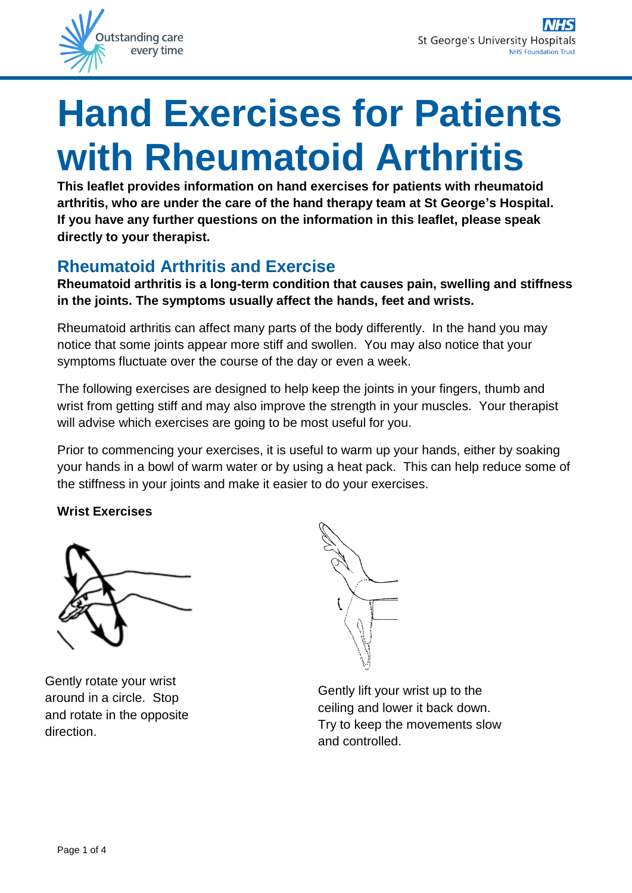

# **Hand Exercises for Patients with Rheumatoid Arthritis**

**This leaflet provides information on hand exercises for patients with rheumatoid arthritis, who are under the care of the hand therapy team at St George's Hospital. If you have any further questions on the information in this leaflet, please speak directly to your therapist.**

## **Rheumatoid Arthritis and Exercise**

**Rheumatoid arthritis is a long-term condition that causes pain, swelling and stiffness in the joints. The symptoms usually affect the hands, feet and wrists.**

Rheumatoid arthritis can affect many parts of the body differently. In the hand you may notice that some joints appear more stiff and swollen. You may also notice that your symptoms fluctuate over the course of the day or even a week.

The following exercises are designed to help keep the joints in your fingers, thumb and wrist from getting stiff and may also improve the strength in your muscles. Your therapist will advise which exercises are going to be most useful for you.

Prior to commencing your exercises, it is useful to warm up your hands, either by soaking your hands in a bowl of warm water or by using a heat pack. This can help reduce some of the stiffness in your joints and make it easier to do your exercises.

## **Wrist Exercises**



Gently rotate your wrist around in a circle. Stop and rotate in the opposite direction.

Gently lift your wrist up to the ceiling and lower it back down. Try to keep the movements slow and controlled.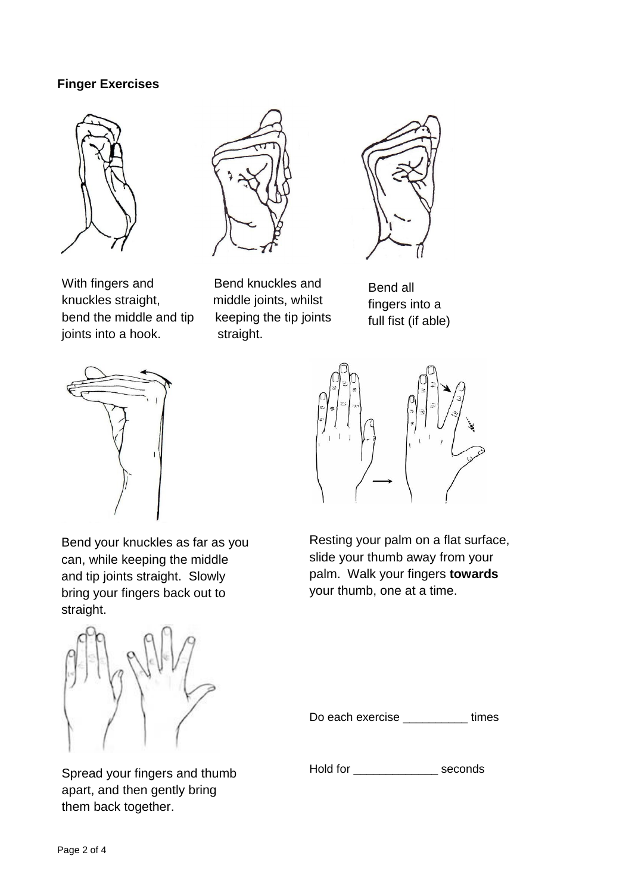### **Finger Exercises**







With fingers and Bend knuckles and knuckles straight, middle joints, whilst bend the middle and tip keeping the tip joints joints into a hook. straight.

Bend all fingers into a full fist (if able)





Bend your knuckles as far as you can, while keeping the middle and tip joints straight. Slowly bring your fingers back out to straight.



Spread your fingers and thumb apart, and then gently bring them back together.

Resting your palm on a flat surface, slide your thumb away from your palm. Walk your fingers **towards** your thumb, one at a time.

Do each exercise \_\_\_\_\_\_\_\_\_\_\_ times

Hold for \_\_\_\_\_\_\_\_\_\_\_\_\_ seconds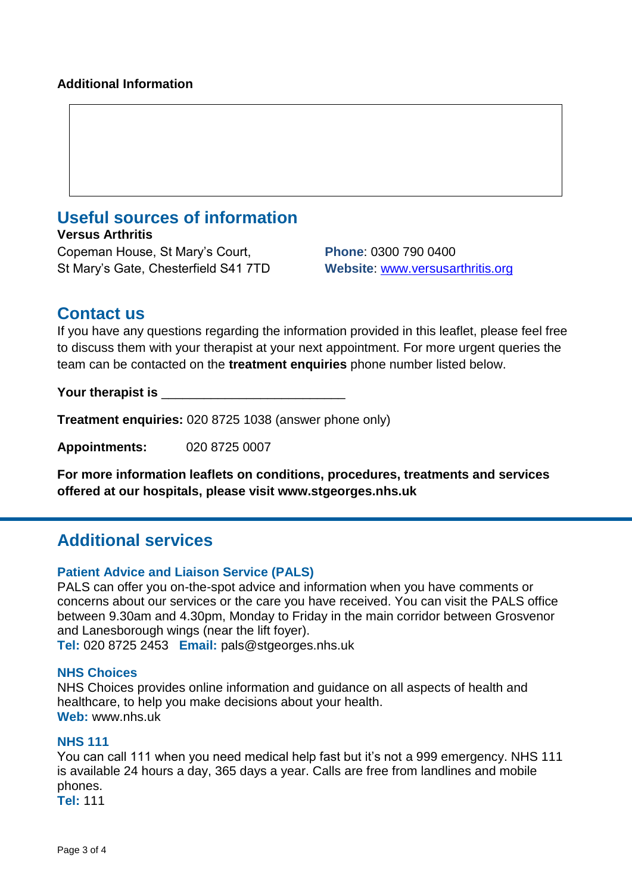## **Useful sources of information**

**Versus Arthritis** Copeman House, St Mary's Court, **Phone**: 0300 790 0400 St Mary's Gate, Chesterfield S41 7TD **Website**: [www.versusarthritis.org](http://www.versusarthritis.org/)

## **Contact us**

If you have any questions regarding the information provided in this leaflet, please feel free to discuss them with your therapist at your next appointment. For more urgent queries the team can be contacted on the **treatment enquiries** phone number listed below.

Your therapist is

**Treatment enquiries:** 020 8725 1038 (answer phone only)

**Appointments:** 020 8725 0007

**For more information leaflets on conditions, procedures, treatments and services offered at our hospitals, please visit www.stgeorges.nhs.uk**

## **Additional services**

#### **Patient Advice and Liaison Service (PALS)**

PALS can offer you on-the-spot advice and information when you have comments or concerns about our services or the care you have received. You can visit the PALS office between 9.30am and 4.30pm, Monday to Friday in the main corridor between Grosvenor and Lanesborough wings (near the lift foyer).

**Tel:** 020 8725 2453 **Email:** pals@stgeorges.nhs.uk

#### **NHS Choices**

NHS Choices provides online information and guidance on all aspects of health and healthcare, to help you make decisions about your health. **Web:** www.nhs.uk

#### **NHS 111**

You can call 111 when you need medical help fast but it's not a 999 emergency. NHS 111 is available 24 hours a day, 365 days a year. Calls are free from landlines and mobile phones.

**Tel:** 111